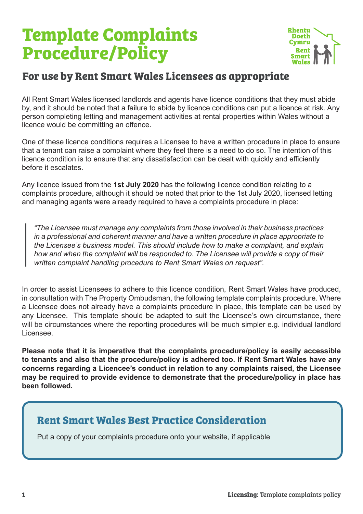# **Template Complaints Procedure/Policy**



## **For use by Rent Smart Wales Licensees as appropriate**

All Rent Smart Wales licensed landlords and agents have licence conditions that they must abide by, and it should be noted that a failure to abide by licence conditions can put a licence at risk. Any person completing letting and management activities at rental properties within Wales without a licence would be committing an offence.

One of these licence conditions requires a Licensee to have a written procedure in place to ensure that a tenant can raise a complaint where they feel there is a need to do so. The intention of this licence condition is to ensure that any dissatisfaction can be dealt with quickly and efficiently before it escalates.

Any licence issued from the **1st July 2020** has the following licence condition relating to a complaints procedure, although it should be noted that prior to the 1st July 2020, licensed letting and managing agents were already required to have a complaints procedure in place:

*"The Licensee must manage any complaints from those involved in their business practices in a professional and coherent manner and have a written procedure in place appropriate to the Licensee's business model. This should include how to make a complaint, and explain how and when the complaint will be responded to. The Licensee will provide a copy of their written complaint handling procedure to Rent Smart Wales on request".*

In order to assist Licensees to adhere to this licence condition, Rent Smart Wales have produced, in consultation with The Property Ombudsman, the following template complaints procedure. Where a Licensee does not already have a complaints procedure in place, this template can be used by any Licensee. This template should be adapted to suit the Licensee's own circumstance, there will be circumstances where the reporting procedures will be much simpler e.g. individual landlord Licensee.

**Please note that it is imperative that the complaints procedure/policy is easily accessible to tenants and also that the procedure/policy is adhered too. If Rent Smart Wales have any concerns regarding a Licencee's conduct in relation to any complaints raised, the Licensee may be required to provide evidence to demonstrate that the procedure/policy in place has been followed.**

## **Rent Smart Wales Best Practice Consideration**

Put a copy of your complaints procedure onto your website, if applicable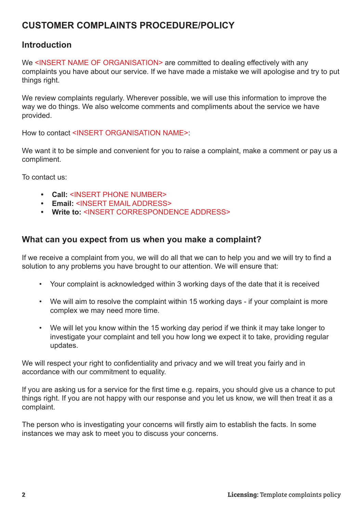## **CUSTOMER COMPLAINTS PROCEDURE/POLICY**

## **Introduction**

We <INSERT NAME OF ORGANISATION> are committed to dealing effectively with any complaints you have about our service. If we have made a mistake we will apologise and try to put things right.

We review complaints regularly. Wherever possible, we will use this information to improve the way we do things. We also welcome comments and compliments about the service we have provided.

How to contact <INSERT ORGANISATION NAME>:

We want it to be simple and convenient for you to raise a complaint, make a comment or pay us a compliment.

To contact us:

- **• Call:** <INSERT PHONE NUMBER>
- **• Email:** <INSERT EMAIL ADDRESS>
- **• Write to:** <INSERT CORRESPONDENCE ADDRESS>

#### **What can you expect from us when you make a complaint?**

If we receive a complaint from you, we will do all that we can to help you and we will try to find a solution to any problems you have brought to our attention. We will ensure that:

- Your complaint is acknowledged within 3 working days of the date that it is received
- We will aim to resolve the complaint within 15 working days if your complaint is more complex we may need more time.
- We will let you know within the 15 working day period if we think it may take longer to investigate your complaint and tell you how long we expect it to take, providing regular updates.

We will respect your right to confidentiality and privacy and we will treat you fairly and in accordance with our commitment to equality.

If you are asking us for a service for the first time e.g. repairs, you should give us a chance to put things right. If you are not happy with our response and you let us know, we will then treat it as a complaint.

The person who is investigating your concerns will firstly aim to establish the facts. In some instances we may ask to meet you to discuss your concerns.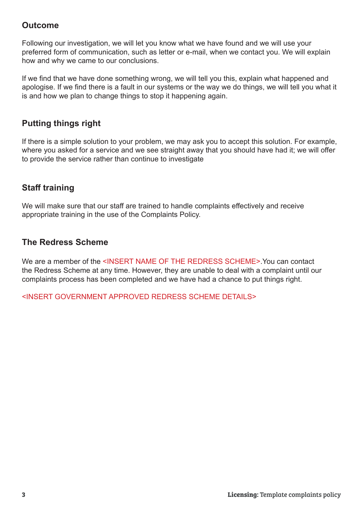## **Outcome**

Following our investigation, we will let you know what we have found and we will use your preferred form of communication, such as letter or e-mail, when we contact you. We will explain how and why we came to our conclusions.

If we find that we have done something wrong, we will tell you this, explain what happened and apologise. If we find there is a fault in our systems or the way we do things, we will tell you what it is and how we plan to change things to stop it happening again.

## **Putting things right**

If there is a simple solution to your problem, we may ask you to accept this solution. For example, where you asked for a service and we see straight away that you should have had it; we will offer to provide the service rather than continue to investigate

## **Staff training**

We will make sure that our staff are trained to handle complaints effectively and receive appropriate training in the use of the Complaints Policy.

## **The Redress Scheme**

We are a member of the <INSERT NAME OF THE REDRESS SCHEME>. You can contact the Redress Scheme at any time. However, they are unable to deal with a complaint until our complaints process has been completed and we have had a chance to put things right.

<INSERT GOVERNMENT APPROVED REDRESS SCHEME DETAILS>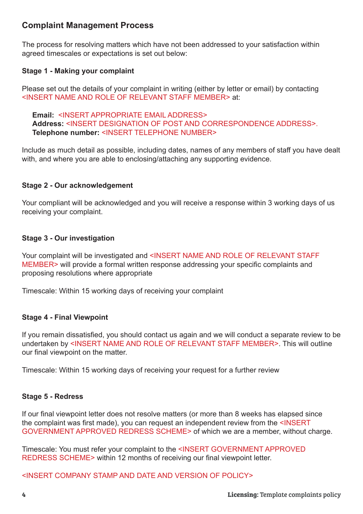## **Complaint Management Process**

The process for resolving matters which have not been addressed to your satisfaction within agreed timescales or expectations is set out below:

#### **Stage 1 - Making your complaint**

Please set out the details of your complaint in writing (either by letter or email) by contacting <INSERT NAME AND ROLE OF RELEVANT STAFF MEMBER> at:

**Email:** <INSERT APPROPRIATE EMAIL ADDRESS> **Address:** <INSERT DESIGNATION OF POST AND CORRESPONDENCE ADDRESS>. **Telephone number:** <INSERT TELEPHONE NUMBER>

Include as much detail as possible, including dates, names of any members of staff you have dealt with, and where you are able to enclosing/attaching any supporting evidence.

#### **Stage 2 - Our acknowledgement**

Your compliant will be acknowledged and you will receive a response within 3 working days of us receiving your complaint.

#### **Stage 3 - Our investigation**

Your complaint will be investigated and <INSERT NAME AND ROLE OF RELEVANT STAFF MEMBER> will provide a formal written response addressing your specific complaints and proposing resolutions where appropriate

Timescale: Within 15 working days of receiving your complaint

#### **Stage 4 - Final Viewpoint**

If you remain dissatisfied, you should contact us again and we will conduct a separate review to be undertaken by <INSERT NAME AND ROLE OF RELEVANT STAFF MEMBER>. This will outline our final viewpoint on the matter.

Timescale: Within 15 working days of receiving your request for a further review

#### **Stage 5 - Redress**

If our final viewpoint letter does not resolve matters (or more than 8 weeks has elapsed since the complaint was first made), you can request an independent review from the <INSERT GOVERNMENT APPROVED REDRESS SCHEME> of which we are a member, without charge.

Timescale: You must refer your complaint to the <INSERT GOVERNMENT APPROVED REDRESS SCHEME> within 12 months of receiving our final viewpoint letter.

<INSERT COMPANY STAMP AND DATE AND VERSION OF POLICY>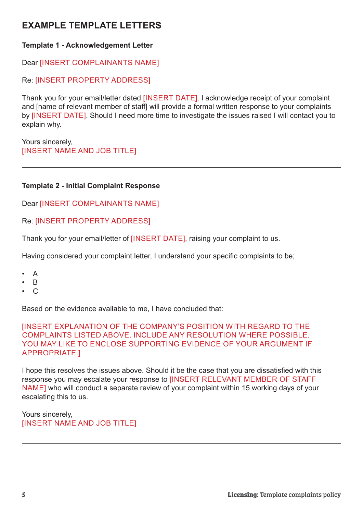## **EXAMPLE TEMPLATE LETTERS**

#### **Template 1 - Acknowledgement Letter**

Dear [INSERT COMPLAINANTS NAME]

#### Re: [INSERT PROPERTY ADDRESS]

Thank you for your email/letter dated [INSERT DATE]. I acknowledge receipt of your complaint and [name of relevant member of staff] will provide a formal written response to your complaints by [INSERT DATE]. Should I need more time to investigate the issues raised I will contact you to explain why.

Yours sincerely, [INSERT NAME AND JOB TITLE]

#### **Template 2 - Initial Complaint Response**

Dear [INSERT COMPLAINANTS NAME]

#### Re: [INSERT PROPERTY ADDRESS]

Thank you for your email/letter of [INSERT DATE], raising your complaint to us.

Having considered your complaint letter, I understand your specific complaints to be;

- A
- B
- $\mathcal{C}$

Based on the evidence available to me, I have concluded that:

#### [INSERT EXPLANATION OF THE COMPANY'S POSITION WITH REGARD TO THE COMPLAINTS LISTED ABOVE. INCLUDE ANY RESOLUTION WHERE POSSIBLE. YOU MAY LIKE TO ENCLOSE SUPPORTING EVIDENCE OF YOUR ARGUMENT IF APPROPRIATE.]

I hope this resolves the issues above. Should it be the case that you are dissatisfied with this response you may escalate your response to [INSERT RELEVANT MEMBER OF STAFF NAME] who will conduct a separate review of your complaint within 15 working days of your escalating this to us.

Yours sincerely, [INSERT NAME AND JOB TITLE]